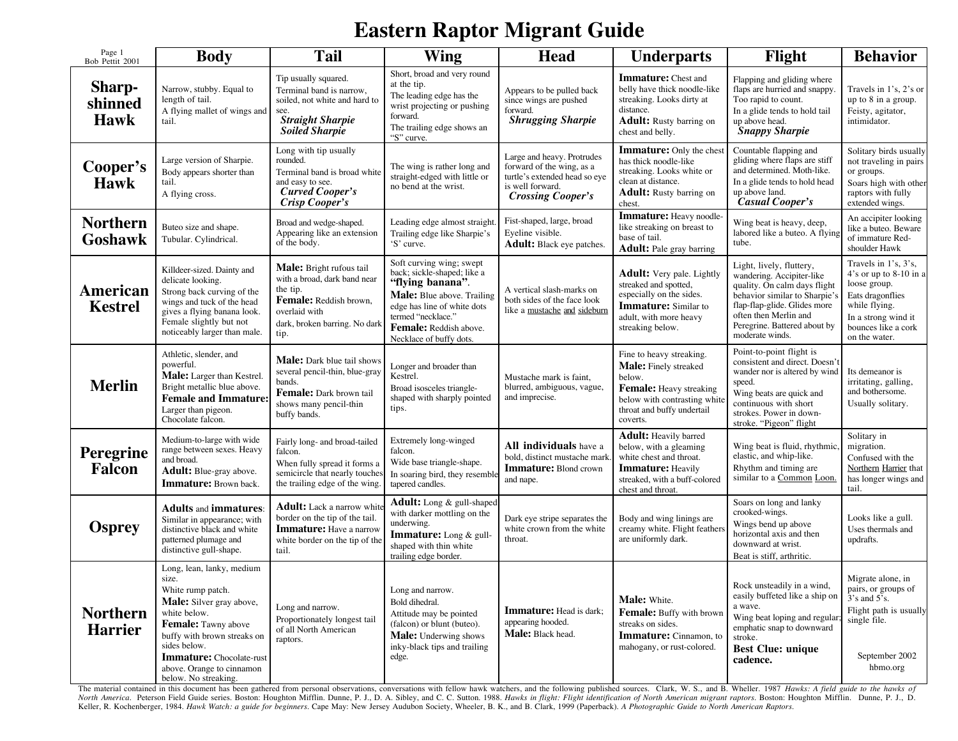## **Eastern Raptor Migrant Guide**

| Page 1<br>Bob Pettit 2001               | <b>Body</b>                                                                                                                                                                                                                                                | <b>Tail</b>                                                                                                                                                     | Wing                                                                                                                                                                                                                | <b>Head</b>                                                                                                                              | <b>Underparts</b>                                                                                                                                                       | Flight                                                                                                                                                                                                                             | <b>Behavior</b>                                                                                                                                                       |
|-----------------------------------------|------------------------------------------------------------------------------------------------------------------------------------------------------------------------------------------------------------------------------------------------------------|-----------------------------------------------------------------------------------------------------------------------------------------------------------------|---------------------------------------------------------------------------------------------------------------------------------------------------------------------------------------------------------------------|------------------------------------------------------------------------------------------------------------------------------------------|-------------------------------------------------------------------------------------------------------------------------------------------------------------------------|------------------------------------------------------------------------------------------------------------------------------------------------------------------------------------------------------------------------------------|-----------------------------------------------------------------------------------------------------------------------------------------------------------------------|
| <b>Sharp-</b><br>shinned<br><b>Hawk</b> | Narrow, stubby. Equal to<br>length of tail.<br>A flying mallet of wings and<br>tail.                                                                                                                                                                       | Tip usually squared.<br>Terminal band is narrow,<br>soiled, not white and hard to<br>see.<br><b>Straight Sharpie</b><br><b>Soiled Sharpie</b>                   | Short, broad and very round<br>at the tip.<br>The leading edge has the<br>wrist projecting or pushing<br>forward.<br>The trailing edge shows an<br>"S" curve.                                                       | Appears to be pulled back<br>since wings are pushed<br>forward.<br><b>Shrugging Sharpie</b>                                              | <b>Immature:</b> Chest and<br>belly have thick noodle-like<br>streaking. Looks dirty at<br>distance.<br><b>Adult:</b> Rusty barring on<br>chest and belly.              | Flapping and gliding where<br>flaps are hurried and snappy.<br>Too rapid to count.<br>In a glide tends to hold tail<br>up above head.<br><b>Snappy Sharpie</b>                                                                     | Travels in 1's, 2's or<br>up to 8 in a group.<br>Feisty, agitator,<br>intimidator.                                                                                    |
| Cooper's<br>Hawk                        | Large version of Sharpie.<br>Body appears shorter than<br>tail.<br>A flying cross.                                                                                                                                                                         | Long with tip usually<br>rounded.<br>Terminal band is broad white<br>and easy to see.<br>Curved Cooper's<br>Crisp Cooper's                                      | The wing is rather long and<br>straight-edged with little or<br>no bend at the wrist.                                                                                                                               | Large and heavy. Protrudes<br>forward of the wing, as a<br>turtle's extended head so eye<br>is well forward.<br><b>Crossing Cooper's</b> | <b>Immature:</b> Only the chest<br>has thick noodle-like<br>streaking. Looks white or<br>clean at distance.<br>Adult: Rusty barring on<br>chest.                        | Countable flapping and<br>gliding where flaps are stiff<br>and determined. Moth-like.<br>In a glide tends to hold head<br>up above land.<br>Casual Cooper's                                                                        | Solitary birds usually<br>not traveling in pairs<br>or groups.<br>Soars high with other<br>raptors with fully<br>extended wings.                                      |
| <b>Northern</b><br>Goshawk              | Buteo size and shape.<br>Tubular. Cylindrical.                                                                                                                                                                                                             | Broad and wedge-shaped.<br>Appearing like an extension<br>of the body.                                                                                          | Leading edge almost straight.<br>Trailing edge like Sharpie's<br>'S' curve.                                                                                                                                         | Fist-shaped, large, broad<br>Eyeline visible.<br>Adult: Black eye patches.                                                               | Immature: Heavy noodle-<br>like streaking on breast to<br>base of tail.<br><b>Adult:</b> Pale gray barring                                                              | Wing beat is heavy, deep,<br>labored like a buteo. A flying<br>tube.                                                                                                                                                               | An accipiter looking<br>like a buteo. Beware<br>of immature Red-<br>shoulder Hawk                                                                                     |
| <b>American</b><br><b>Kestrel</b>       | Killdeer-sized. Dainty and<br>delicate looking.<br>Strong back curving of the<br>wings and tuck of the head<br>gives a flying banana look.<br>Female slightly but not<br>noticeably larger than male.                                                      | <b>Male:</b> Bright rufous tail<br>with a broad, dark band near<br>the tip.<br>Female: Reddish brown,<br>overlaid with<br>dark, broken barring. No dark<br>tip. | Soft curving wing; swept<br>back; sickle-shaped; like a<br>"flying banana".<br>Male: Blue above. Trailing<br>edge has line of white dots<br>termed "necklace."<br>Female: Reddish above.<br>Necklace of buffy dots. | A vertical slash-marks on<br>both sides of the face look<br>like a mustache and sideburn                                                 | <b>Adult:</b> Very pale. Lightly<br>streaked and spotted,<br>especially on the sides.<br><b>Immature:</b> Similar to<br>adult, with more heavy<br>streaking below.      | Light, lively, fluttery,<br>wandering. Accipiter-like<br>quality. On calm days flight<br>behavior similar to Sharpie's<br>flap-flap-glide. Glides more<br>often then Merlin and<br>Peregrine. Battered about by<br>moderate winds. | Travels in 1's, 3's,<br>$4$ 's or up to 8-10 in a<br>loose group.<br>Eats dragonflies<br>while flying.<br>In a strong wind it<br>bounces like a cork<br>on the water. |
| <b>Merlin</b>                           | Athletic, slender, and<br>powerful.<br>Male: Larger than Kestrel.<br>Bright metallic blue above.<br><b>Female and Immature</b><br>Larger than pigeon.<br>Chocolate falcon.                                                                                 | Male: Dark blue tail shows<br>several pencil-thin, blue-gray<br>bands.<br>Female: Dark brown tail<br>shows many pencil-thin<br>buffy bands.                     | Longer and broader than<br>Kestrel.<br>Broad isosceles triangle-<br>shaped with sharply pointed<br>tips.                                                                                                            | Mustache mark is faint,<br>blurred, ambiguous, vague,<br>and imprecise.                                                                  | Fine to heavy streaking.<br>Male: Finely streaked<br>below.<br><b>Female:</b> Heavy streaking<br>below with contrasting white<br>throat and buffy undertail<br>coverts. | Point-to-point flight is<br>consistent and direct. Doesn't<br>wander nor is altered by wind<br>speed.<br>Wing beats are quick and<br>continuous with short<br>strokes. Power in down-<br>stroke. "Pigeon" flight                   | Its demeanor is<br>irritating, galling,<br>and bothersome.<br>Usually solitary.                                                                                       |
| <b>Peregrine</b><br><b>Falcon</b>       | Medium-to-large with wide<br>range between sexes. Heavy<br>and broad.<br>Adult: Blue-gray above.<br><b>Immature:</b> Brown back.                                                                                                                           | Fairly long- and broad-tailed<br>falcon.<br>When fully spread it forms a<br>semicircle that nearly touches<br>the trailing edge of the wing.                    | Extremely long-winged<br>falcon.<br>Wide base triangle-shape.<br>In soaring bird, they resemble<br>tapered candles.                                                                                                 | <b>All individuals</b> have a<br>bold, distinct mustache mark<br><b>Immature:</b> Blond crown<br>and nape.                               | <b>Adult:</b> Heavily barred<br>below, with a gleaming<br>white chest and throat.<br><b>Immature: Heavily</b><br>streaked, with a buff-colored<br>chest and throat.     | Wing beat is fluid, rhythmic,<br>elastic, and whip-like.<br>Rhythm and timing are<br>similar to a Common Loon.                                                                                                                     | Solitary in<br>migration.<br>Confused with the<br>Northern Harrier that<br>has longer wings and<br>tail.                                                              |
| <b>Osprey</b>                           | <b>Adults and immatures:</b><br>Similar in appearance; with<br>distinctive black and white<br>patterned plumage and<br>distinctive gull-shape.                                                                                                             | <b>Adult:</b> Lack a narrow white<br>border on the tip of the tail.<br><b>Immature:</b> Have a narrow<br>white border on the tip of the<br>tail.                | <b>Adult:</b> Long & gull-shaped<br>with darker mottling on the<br>underwing.<br>Immature: Long & gull-<br>shaped with thin white<br>trailing edge border.                                                          | Dark eye stripe separates the<br>white crown from the white<br>throat.                                                                   | Body and wing linings are<br>creamy white. Flight feathers<br>are uniformly dark.                                                                                       | Soars on long and lanky<br>crooked-wings.<br>Wings bend up above<br>horizontal axis and then<br>downward at wrist.<br>Beat is stiff, arthritic.                                                                                    | Looks like a gull.<br>Uses thermals and<br>updrafts.                                                                                                                  |
| <b>Northern</b><br><b>Harrier</b>       | Long, lean, lanky, medium<br>size.<br>White rump patch.<br>Male: Silver gray above,<br>white below.<br>Female: Tawny above<br>buffy with brown streaks on<br>sides below.<br>Immature: Chocolate-rust<br>above. Orange to cinnamon<br>below. No streaking. | Long and narrow.<br>Proportionately longest tail<br>of all North American<br>raptors.                                                                           | Long and narrow.<br>Bold dihedral.<br>Attitude may be pointed<br>(falcon) or blunt (buteo).<br><b>Male:</b> Underwing shows<br>inky-black tips and trailing<br>edge.                                                | <b>Immature:</b> Head is dark;<br>appearing hooded.<br>Male: Black head.                                                                 | Male: White.<br>Female: Buffy with brown<br>streaks on sides.<br><b>Immature:</b> Cinnamon, to<br>mahogany, or rust-colored.                                            | Rock unsteadily in a wind,<br>easily buffeted like a ship on<br>a wave.<br>Wing beat loping and regular<br>emphatic snap to downward<br>stroke.<br><b>Best Clue: unique</b><br>cadence.                                            | Migrate alone, in<br>pairs, or groups of<br>$3's$ and $5's$ .<br>Flight path is usually<br>single file.<br>September 2002<br>hbmo.org                                 |

The material contained in this document has been gathered from personal observations, conversations with fellow hawk watchers, and the following published sources. Clark, W. S., and B. Wheller. 1987 Hawks: A field guide to North America. Peterson Field Guide series. Boston: Houghton Mifflin. Dunne, P. J., D. A. Sibley, and C. C. Sutton. 1988. Hawks in flight: Flight identification of North American migrant raptors. Boston: Houghton Mifflin. Keller, R. Kochenberger, 1984. *Hawk Watch: a guide for beginners*. Cape May: New Jersey Audubon Society, Wheeler, B. K., and B. Clark, 1999 (Paperback). *A Photographic Guide to North American Raptors*.